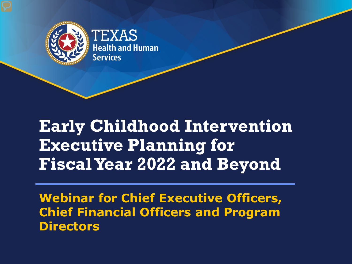

### **Early Childhood Intervention Executive Planning for Fiscal Year 2022 and Beyond**

**Webinar for Chief Executive Officers, Chief Financial Officers and Program Directors**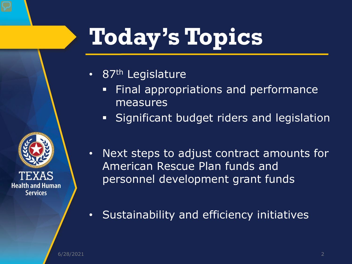## **Today's Topics**

- 87<sup>th</sup> Legislature
	- Final appropriations and performance measures
	- **Significant budget riders and legislation**



- Next steps to adjust contract amounts for American Rescue Plan funds and personnel development grant funds
- Sustainability and efficiency initiatives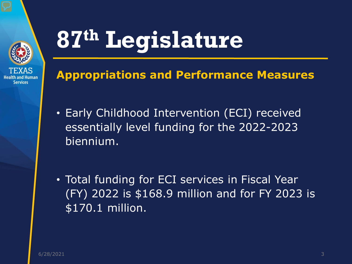

### **Appropriations and Performance Measures**

- Early Childhood Intervention (ECI) received essentially level funding for the 2022-2023 biennium.
- Total funding for ECI services in Fiscal Year (FY) 2022 is \$168.9 million and for FY 2023 is \$170.1 million.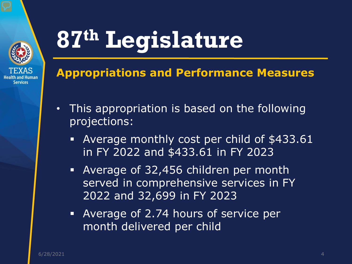

### **Appropriations and Performance Measures**

- This appropriation is based on the following projections:
	- Average monthly cost per child of \$433.61 in FY 2022 and \$433.61 in FY 2023
	- Average of 32,456 children per month served in comprehensive services in FY 2022 and 32,699 in FY 2023
	- Average of 2.74 hours of service per month delivered per child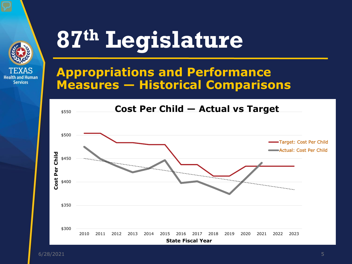

### **Appropriations and Performance Measures — Historical Comparisons**

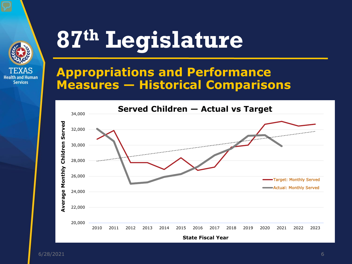

#### **Appropriations and Performance Measures — Historical Comparisons**

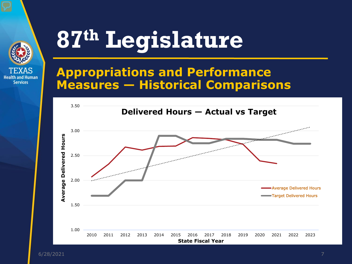

### **Appropriations and Performance Measures — Historical Comparisons**

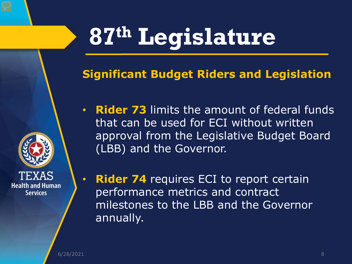### **Significant Budget Riders and Legislation**

- **Rider 73** limits the amount of federal funds that can be used for ECI without written approval from the Legislative Budget Board (LBB) and the Governor.
- **Rider 74** requires ECI to report certain performance metrics and contract milestones to the LBB and the Governor annually.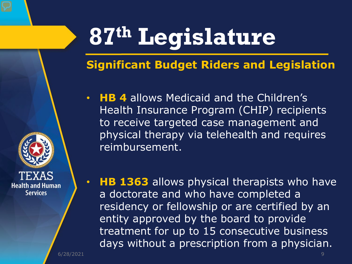### **Significant Budget Riders and Legislation**

• **HB 4** allows Medicaid and the Children's Health Insurance Program (CHIP) recipients to receive targeted case management and physical therapy via telehealth and requires reimbursement.

• **HB 1363** allows physical therapists who have a doctorate and who have completed a residency or fellowship or are certified by an entity approved by the board to provide treatment for up to 15 consecutive business days without a prescription from a physician.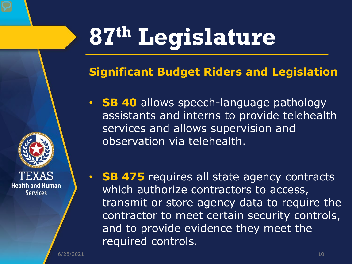### **Significant Budget Riders and Legislation**

- **SB 40** allows speech-language pathology assistants and interns to provide telehealth services and allows supervision and observation via telehealth.
- **SB 475** requires all state agency contracts which authorize contractors to access, transmit or store agency data to require the contractor to meet certain security controls, and to provide evidence they meet the required controls.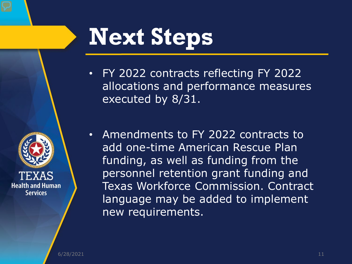

## **Next Steps**

- FY 2022 contracts reflecting FY 2022 allocations and performance measures executed by 8/31.
- Amendments to FY 2022 contracts to add one-time American Rescue Plan funding, as well as funding from the personnel retention grant funding and Texas Workforce Commission. Contract language may be added to implement new requirements.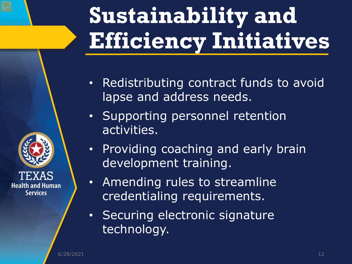## **Sustainability and Efficiency Initiatives**

- Redistributing contract funds to avoid lapse and address needs.
- Supporting personnel retention activities.
- Providing coaching and early brain development training.
- Amending rules to streamline credentialing requirements.
- Securing electronic signature technology.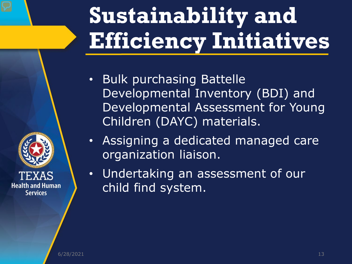## **Sustainability and Efficiency Initiatives**

- Bulk purchasing Battelle Developmental Inventory (BDI) and Developmental Assessment for Young Children (DAYC) materials.
- Assigning a dedicated managed care organization liaison.
- Undertaking an assessment of our child find system.